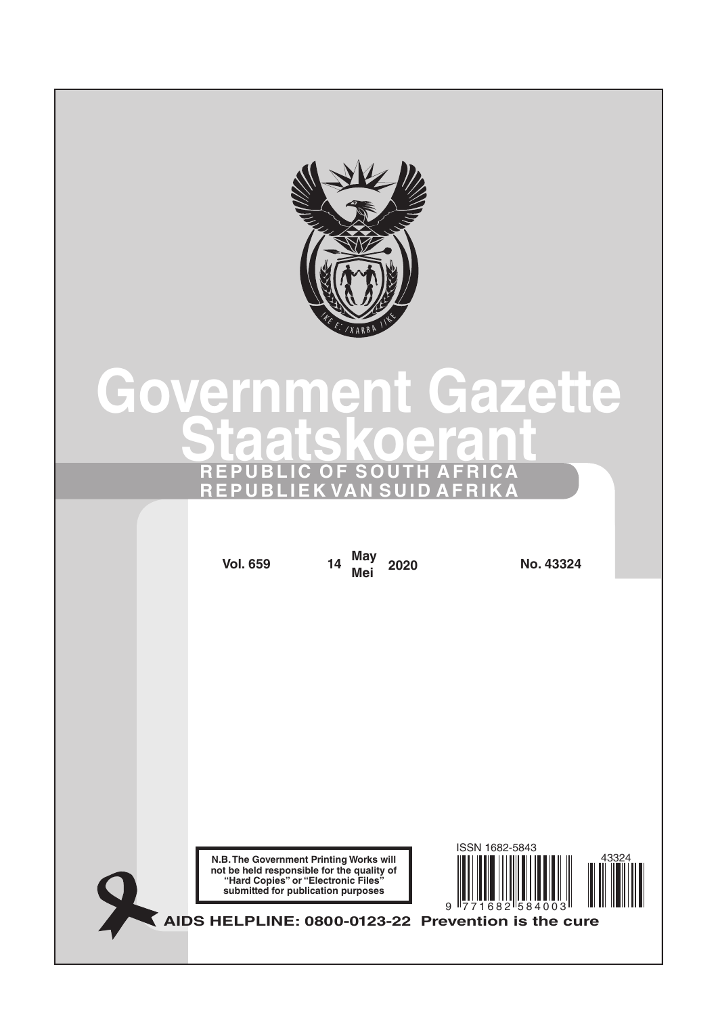

# **Government Gazette Staatskoerant REPUBLIC OF SOUTH AFRICA REPUBLIEK VAN SUID AFRIKA**

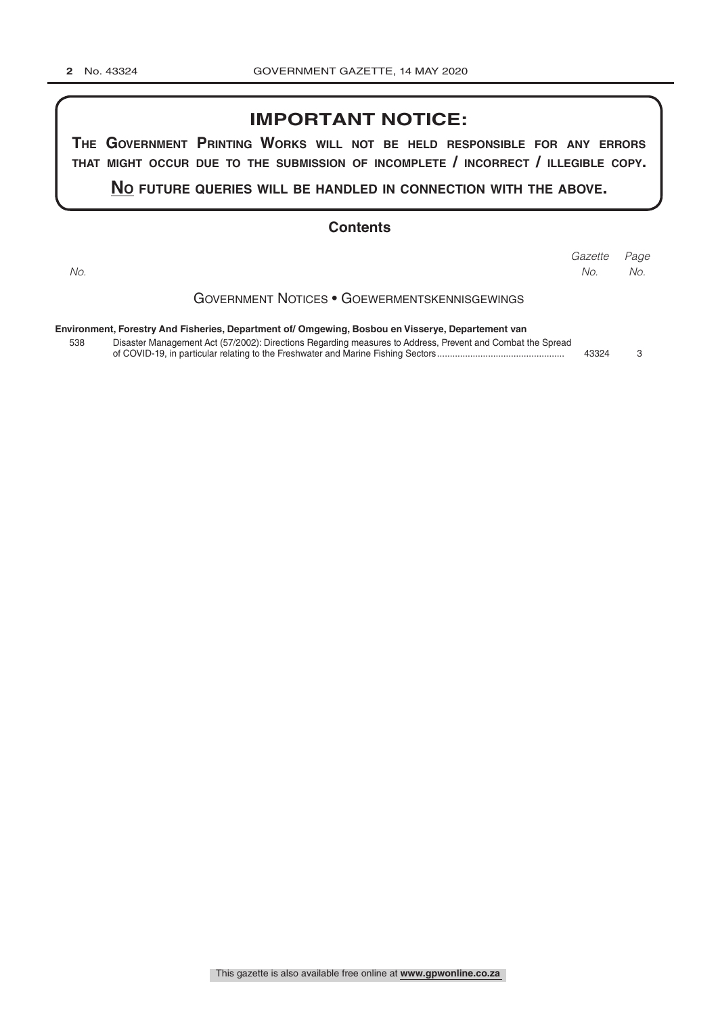## **IMPORTANT NOTICE:**

**The GovernmenT PrinTinG Works Will noT be held resPonsible for any errors ThaT miGhT occur due To The submission of incomPleTe / incorrecT / illeGible coPy.**

#### **no fuTure queries Will be handled in connecTion WiTh The above.**

#### **Contents**

Government Notices • Goewermentskennisgewings **Environment, Forestry And Fisheries, Department of/ Omgewing, Bosbou en Visserye, Departement van** *Page Gazette No. No. No.*

| 538 | Disaster Management Act (57/2002): Directions Regarding measures to Address, Prevent and Combat the Spread |       |  |
|-----|------------------------------------------------------------------------------------------------------------|-------|--|
|     |                                                                                                            | 43324 |  |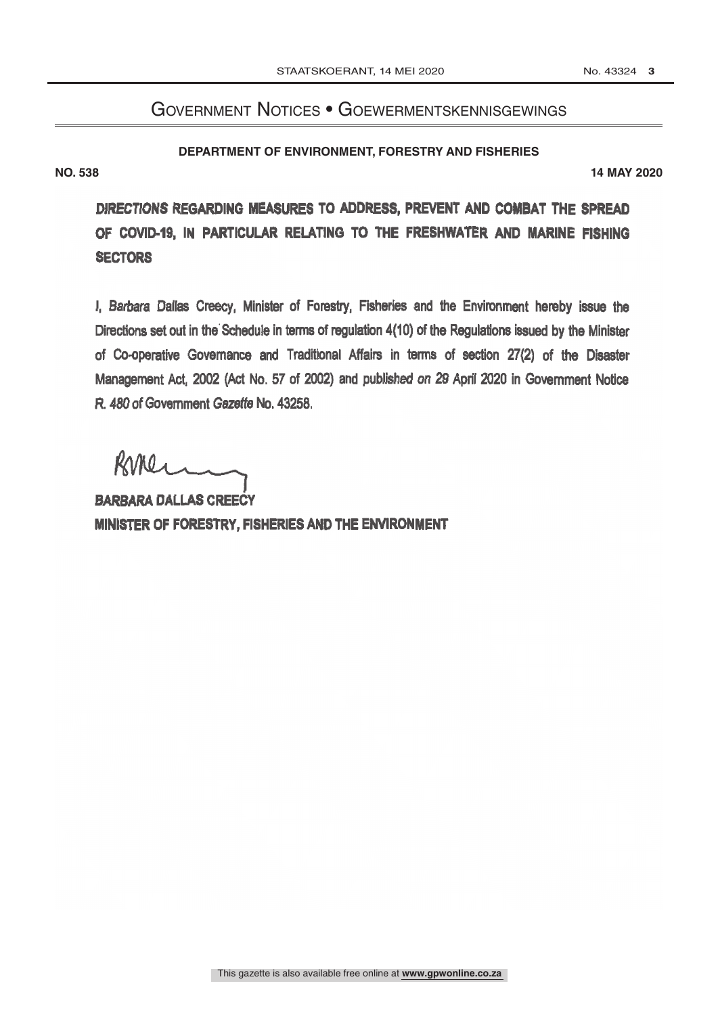# Government Notices • Goewermentskennisgewings

**DEPARTMENT OF ENVIRONMENT, FORESTRY AND FISHERIES** 

**NO. 538 14 MAY 2020**

DIRECTIONS REGARDING MEASURES TO ADDRESS, PREVENT AND COMBAT THE SPREAD OF COVID-19, IN PARTICULAR RELATING TO THE FRESHWATER AND MARINE FISHING **SECTORS** 

I, Barbara Dallas Creecy, Minister of Forestry, Fisheries and the Environment hereby issue the Directions set out in the'Schedule in terms of regulation 4(10) of the Regulations issued by the Minister of Co- operative Governance and Traditional Affairs in terms of section 27(2) of the Disaster Management Act, 2002 (Act No. 57 of 2002) and published on 29 April 2020 in Government Notice R. 480 of Government Gazette No. 43258.

RUNer

BARBARA DALLAS CREECY MINISTER OF FORESTRY, FISHERIES AND THE ENVIRONMENT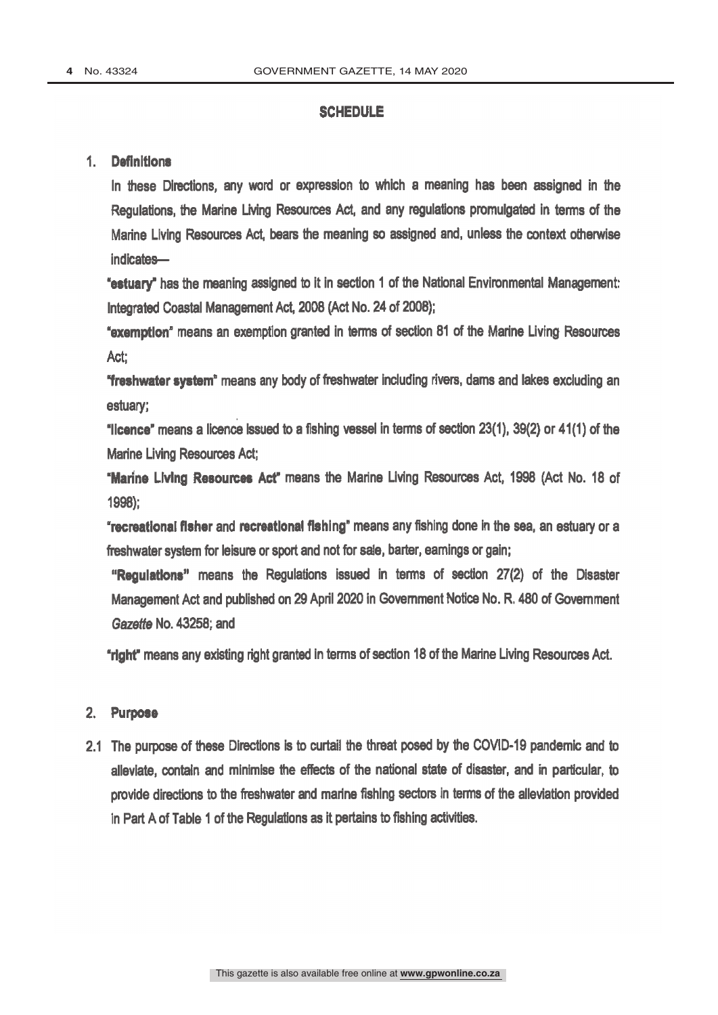### **SCHEDULE**

#### 1. Definitions

In these Directions, any word or expression to which a meaning has been assigned in the Regulations, the Marine Living Resources Act, and any regulations promulgated in terms of the Marine Living Resources Act, bears the meaning so assigned and, unless the context otherwise indicates-

"estuary" has the meaning assigned to it in section 1 of the National Environmental Management: Integrated Coastal Management Act, 2008 (Act No. 24 of 2008);

'exemption' means an exemption granted in terms of section 81 of the Marine Living Resources Act:

'freshwater system" means any body of freshwater including rivers, dams and lakes excluding an estuary;

"licence" means a licence issued to a fishing vessel in terms of section 23(1), 39(2) or 41(1) of the Marine Living Resources Act;

`Marine Living Resources Act" means the Marine Living Resources Act, 1998 (Act No. 18 of 1998);

"recreational fisher and recreational fishing" means any fishing done in the sea, an estuary or a freshwater system for leisure or sport and not for sale, barter, earnings or gain;

"Regulations" means the Regulations issued in terms of section 27(2) of the Disaster Management Act and published on 29 April 2020 in Government Notice No. R. 480 of Government Gazette No. 43258; and

"right" means any existing right granted in terms of section 18 of the Marine Living Resources Act.

#### 2. Purpose

2.1 The purpose of these Directions is to curtail the threat posed by the COVID-19 pandemic and to alleviate, contain and minimise the effects of the national state of disaster, and in particular, to provide directions to the freshwater and marine fishing sectors in terms of the alleviation provided in Part A of Table 1 of the Regulations as it pertains to fishing activities.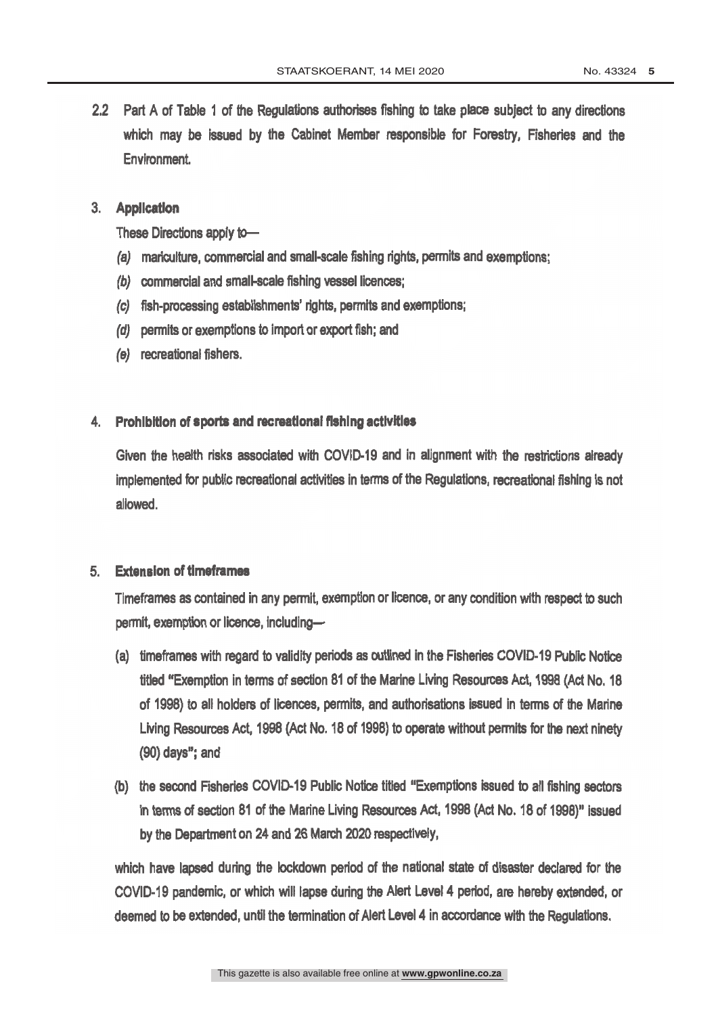2.2 Part A of Table 1 of the Regulations authorises fishing to take place subject to any directions which may be issued by the Cabinet Member responsible for Forestry, Fisheries and the Environment

### 3. Application

These Directions apply to-

- (a) mariculture, commercial and small-scale fishing rights, permits and exemptions;
- (b) commercial and small-scale fishing vessel licences;
- (c) fish -processing establishments' rights, permits and exemptions;
- (d) permits or exemptions to import or export fish; and
- (e) recreational fishers.

#### 4. Prohibition of sports and recreational fishing activities

Given the health risks associated with COVID-19 and in alignment with the restrictions already implemented for public recreational activities in terms of the Regulations, recreational fishing is not allowed.

#### 5. Extension of tmeframes

Timeframes as contained in any permit, exemption or licence, or any condition with respect to such permit, exemption or licence, including-

- (a) timeframes with regard to validity periods as outlined in the Fisheries COVID-19 Public Notice titled "Exemption in terms of section 81 of the Marine Living Resources Act, 1998 (Act No. 18 of 1998) to all holders of licences, permits, and authorisations issued in terms of the Marine Living Resources Act, 1998 (Act No. 18 of 1998) to operate without permits for the next ninety (90) days"; and
- (b) the second Fisheries COVID-19 Public Notice titled "Exemptions issued to all fishing sectors in terms of section 81 of the Marine Living Resources Act, 1998 (Act No. 18 of 1998)" issued by the Department on 24 and 26 March 2020 respectively,

which have lapsed during the lockdown period of the national state of disaster declared for the COVID -19 pandemic, or which will lapse during the Alert Level 4 period, are hereby extended, or deemed to be extended, until the termination of Alert Level 4 in accordance with the Regulations.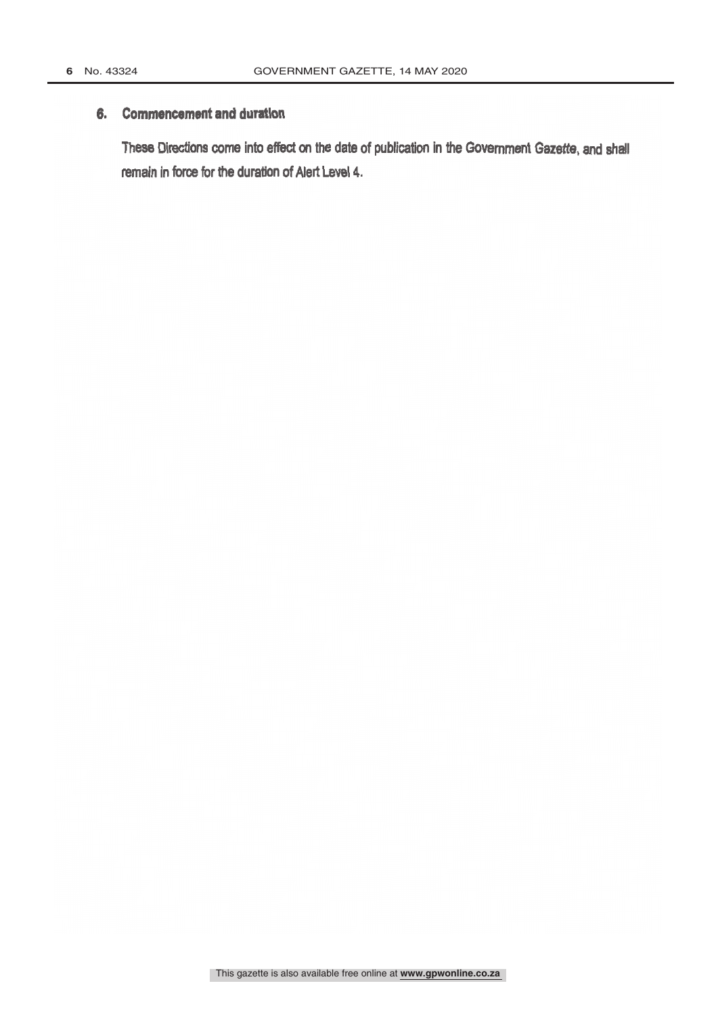### 6. Commencement and duration

These Directions come into effect on the date of publication in the Government Gazette, and shall remain in force for the duration of Alert Level 4.